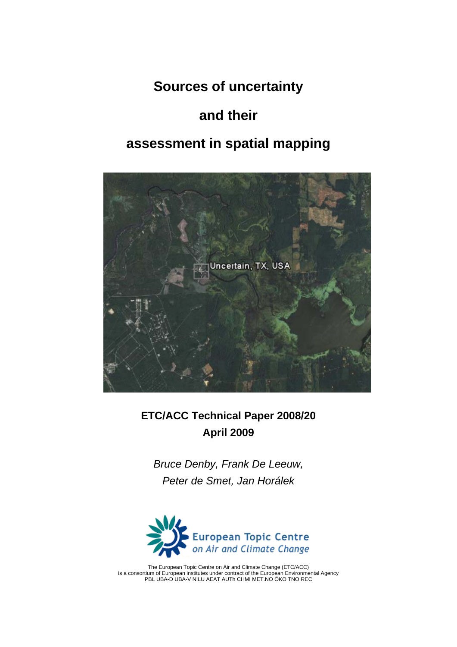# **Sources of uncertainty**

# **and their**

# **assessment in spatial mapping**



# **ETC/ACC Technical Paper 2008/20 April 2009**

*Bruce Denby, Frank De Leeuw, Peter de Smet, Jan Horálek* 



The European Topic Centre on Air and Climate Change (ETC/ACC) is a consortium of European institutes under contract of the European Environmental Agency PBL UBA-D UBA-V NILU AEAT AUTh CHMI MET.NO ÖKO TNO REC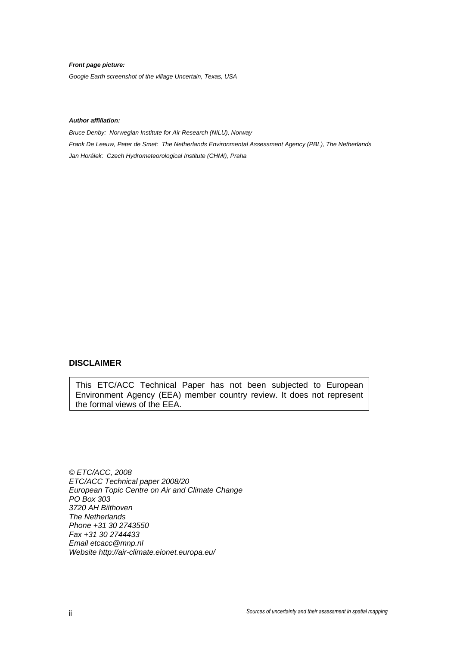#### *Front page picture:*

*Google Earth screenshot of the village Uncertain, Texas, USA* 

#### *Author affiliation:*

*Bruce Denby: Norwegian Institute for Air Research (NILU), Norway Frank De Leeuw, Peter de Smet: The Netherlands Environmental Assessment Agency (PBL), The Netherlands Jan Horálek: Czech Hydrometeorological Institute (CHMI), Praha* 

#### **DISCLAIMER**

This ETC/ACC Technical Paper has not been subjected to European Environment Agency (EEA) member country review. It does not represent the formal views of the EEA.

*© ETC/ACC, 2008 ETC/ACC Technical paper 2008/20 European Topic Centre on Air and Climate Change PO Box 303 3720 AH Bilthoven The Netherlands Phone +31 30 2743550 Fax +31 30 2744433 Email etcacc@mnp.nl Website http://air-climate.eionet.europa.eu/*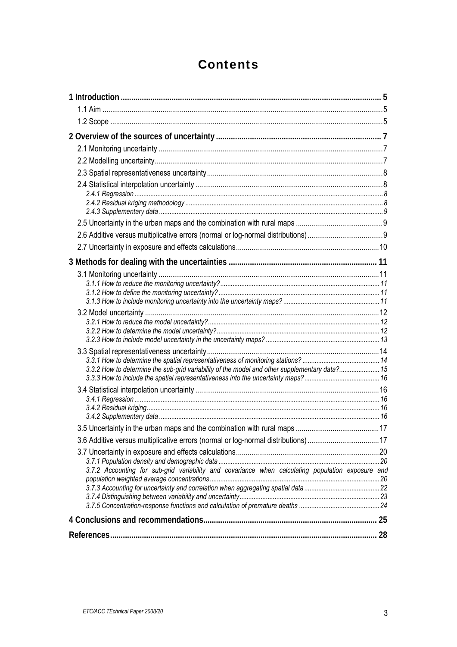# **Contents**

| 3.3.2 How to determine the sub-grid variability of the model and other supplementary data? 15     |  |
|---------------------------------------------------------------------------------------------------|--|
|                                                                                                   |  |
|                                                                                                   |  |
|                                                                                                   |  |
|                                                                                                   |  |
|                                                                                                   |  |
| 3.6 Additive versus multiplicative errors (normal or log-normal distributions)17                  |  |
|                                                                                                   |  |
|                                                                                                   |  |
| 3.7.2 Accounting for sub-grid variability and covariance when calculating population exposure and |  |
|                                                                                                   |  |
|                                                                                                   |  |
|                                                                                                   |  |
|                                                                                                   |  |
|                                                                                                   |  |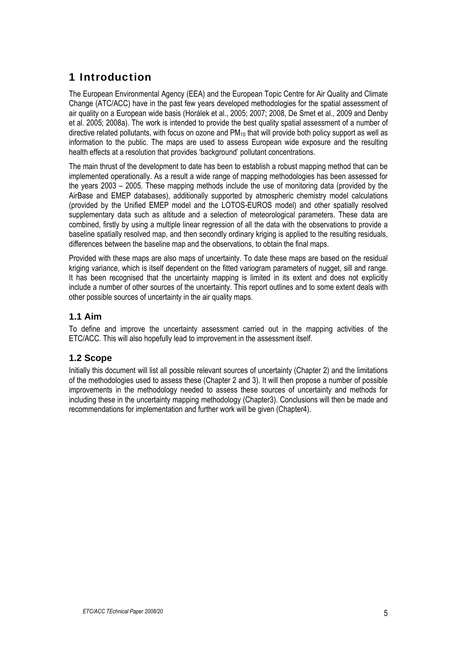## <span id="page-4-0"></span>1 Introduction

The European Environmental Agency (EEA) and the European Topic Centre for Air Quality and Climate Change (ATC/ACC) have in the past few years developed methodologies for the spatial assessment of air quality on a European wide basis (Horálek et al., 2005; 2007; 2008, De Smet et al., 2009 and Denby et al. 2005; 2008a). The work is intended to provide the best quality spatial assessment of a number of directive related pollutants, with focus on ozone and PM<sub>10</sub> that will provide both policy support as well as information to the public. The maps are used to assess European wide exposure and the resulting health effects at a resolution that provides 'background' pollutant concentrations.

The main thrust of the development to date has been to establish a robust mapping method that can be implemented operationally. As a result a wide range of mapping methodologies has been assessed for the years 2003 – 2005. These mapping methods include the use of monitoring data (provided by the AirBase and EMEP databases), additionally supported by atmospheric chemistry model calculations (provided by the Unified EMEP model and the LOTOS-EUROS model) and other spatially resolved supplementary data such as altitude and a selection of meteorological parameters. These data are combined, firstly by using a multiple linear regression of all the data with the observations to provide a baseline spatially resolved map, and then secondly ordinary kriging is applied to the resulting residuals, differences between the baseline map and the observations, to obtain the final maps.

Provided with these maps are also maps of uncertainty. To date these maps are based on the residual kriging variance, which is itself dependent on the fitted variogram parameters of nugget, sill and range. It has been recognised that the uncertainty mapping is limited in its extent and does not explicitly include a number of other sources of the uncertainty. This report outlines and to some extent deals with other possible sources of uncertainty in the air quality maps.

## <span id="page-4-1"></span>**1.1 Aim**

To define and improve the uncertainty assessment carried out in the mapping activities of the ETC/ACC. This will also hopefully lead to improvement in the assessment itself.

## <span id="page-4-2"></span>**1.2 Scope**

Initially this document will list all possible relevant sources of uncertainty (Chapter 2) and the limitations of the methodologies used to assess these (Chapter 2 and 3). It will then propose a number of possible improvements in the methodology needed to assess these sources of uncertainty and methods for including these in the uncertainty mapping methodology (Chapter3). Conclusions will then be made and recommendations for implementation and further work will be given (Chapter4).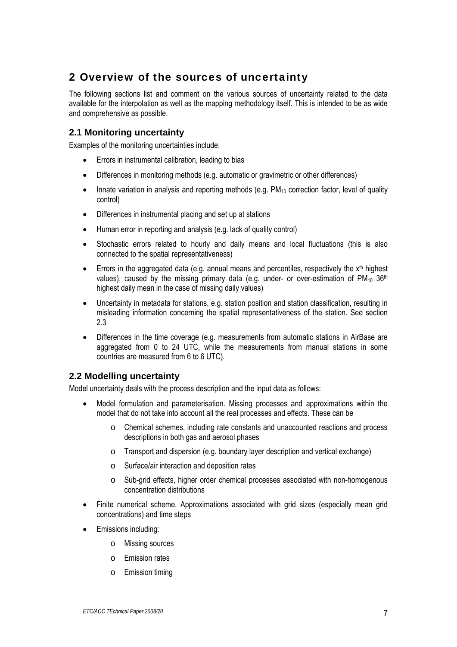## <span id="page-6-0"></span>2 Overview of the sources of uncertainty

The following sections list and comment on the various sources of uncertainty related to the data available for the interpolation as well as the mapping methodology itself. This is intended to be as wide and comprehensive as possible.

## <span id="page-6-1"></span>**2.1 Monitoring uncertainty**

Examples of the monitoring uncertainties include:

- Errors in instrumental calibration, leading to bias
- Differences in monitoring methods (e.g. automatic or gravimetric or other differences)
- Innate variation in analysis and reporting methods (e.g.  $PM_{10}$  correction factor, level of quality control)
- Differences in instrumental placing and set up at stations
- Human error in reporting and analysis (e.g. lack of quality control)
- Stochastic errors related to hourly and daily means and local fluctuations (this is also connected to the spatial representativeness)
- Errors in the aggregated data (e.g. annual means and percentiles, respectively the  $x<sup>th</sup>$  highest values), caused by the missing primary data (e.g. under- or over-estimation of  $PM_{10}$  36<sup>th</sup> highest daily mean in the case of missing daily values)
- Uncertainty in metadata for stations, e.g. station position and station classification, resulting in misleading information concerning the spatial representativeness of the station. See section 2.3
- Differences in the time coverage (e.g. measurements from automatic stations in AirBase are aggregated from 0 to 24 UTC, while the measurements from manual stations in some countries are measured from 6 to 6 UTC).

#### <span id="page-6-2"></span>**2.2 Modelling uncertainty**

Model uncertainty deals with the process description and the input data as follows:

- Model formulation and parameterisation. Missing processes and approximations within the model that do not take into account all the real processes and effects. These can be
	- o Chemical schemes, including rate constants and unaccounted reactions and process descriptions in both gas and aerosol phases
	- o Transport and dispersion (e.g. boundary layer description and vertical exchange)
	- o Surface/air interaction and deposition rates
	- o Sub-grid effects, higher order chemical processes associated with non-homogenous concentration distributions
- Finite numerical scheme. Approximations associated with grid sizes (especially mean grid concentrations) and time steps
- Emissions including:
	- o Missing sources
	- o Emission rates
	- o Emission timing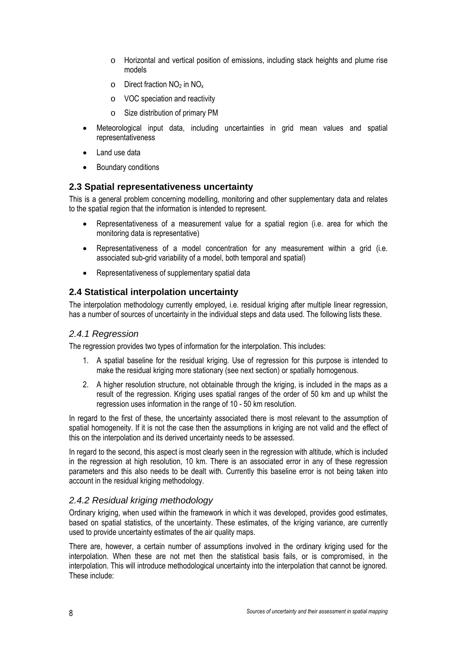- o Horizontal and vertical position of emissions, including stack heights and plume rise models
- $\circ$  Direct fraction NO<sub>2</sub> in NO<sub>x</sub>
- o VOC speciation and reactivity
- o Size distribution of primary PM
- Meteorological input data, including uncertainties in grid mean values and spatial representativeness
- Land use data
- Boundary conditions

#### <span id="page-7-0"></span>**2.3 Spatial representativeness uncertainty**

This is a general problem concerning modelling, monitoring and other supplementary data and relates to the spatial region that the information is intended to represent.

- Representativeness of a measurement value for a spatial region (i.e. area for which the monitoring data is representative)
- Representativeness of a model concentration for any measurement within a grid (i.e. associated sub-grid variability of a model, both temporal and spatial)
- Representativeness of supplementary spatial data

### <span id="page-7-1"></span>**2.4 Statistical interpolation uncertainty**

The interpolation methodology currently employed, i.e. residual kriging after multiple linear regression, has a number of sources of uncertainty in the individual steps and data used. The following lists these.

#### <span id="page-7-2"></span>*2.4.1 Regression*

The regression provides two types of information for the interpolation. This includes:

- 1. A spatial baseline for the residual kriging. Use of regression for this purpose is intended to make the residual kriging more stationary (see next section) or spatially homogenous.
- 2. A higher resolution structure, not obtainable through the kriging, is included in the maps as a result of the regression. Kriging uses spatial ranges of the order of 50 km and up whilst the regression uses information in the range of 10 - 50 km resolution.

In regard to the first of these, the uncertainty associated there is most relevant to the assumption of spatial homogeneity. If it is not the case then the assumptions in kriging are not valid and the effect of this on the interpolation and its derived uncertainty needs to be assessed.

In regard to the second, this aspect is most clearly seen in the regression with altitude, which is included in the regression at high resolution, 10 km. There is an associated error in any of these regression parameters and this also needs to be dealt with. Currently this baseline error is not being taken into account in the residual kriging methodology.

## <span id="page-7-3"></span>*2.4.2 Residual kriging methodology*

Ordinary kriging, when used within the framework in which it was developed, provides good estimates, based on spatial statistics, of the uncertainty. These estimates, of the kriging variance, are currently used to provide uncertainty estimates of the air quality maps.

There are, however, a certain number of assumptions involved in the ordinary kriging used for the interpolation. When these are not met then the statistical basis fails, or is compromised, in the interpolation. This will introduce methodological uncertainty into the interpolation that cannot be ignored. These include: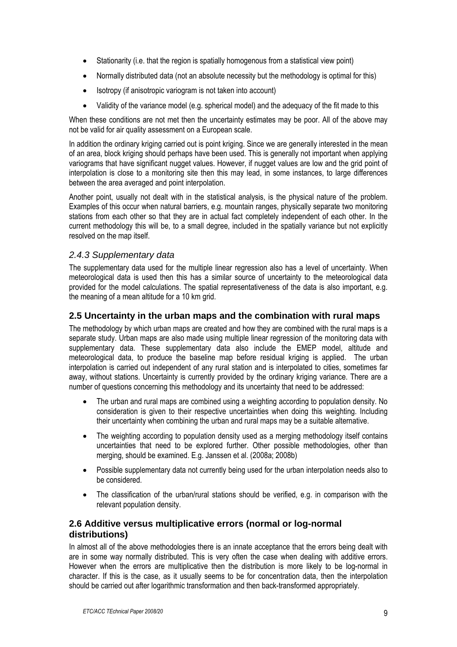- Stationarity (i.e. that the region is spatially homogenous from a statistical view point)
- Normally distributed data (not an absolute necessity but the methodology is optimal for this)
- Isotropy (if anisotropic variogram is not taken into account)
- Validity of the variance model (e.g. spherical model) and the adequacy of the fit made to this

When these conditions are not met then the uncertainty estimates may be poor. All of the above may not be valid for air quality assessment on a European scale.

In addition the ordinary kriging carried out is point kriging. Since we are generally interested in the mean of an area, block kriging should perhaps have been used. This is generally not important when applying variograms that have significant nugget values. However, if nugget values are low and the grid point of interpolation is close to a monitoring site then this may lead, in some instances, to large differences between the area averaged and point interpolation.

Another point, usually not dealt with in the statistical analysis, is the physical nature of the problem. Examples of this occur when natural barriers, e.g. mountain ranges, physically separate two monitoring stations from each other so that they are in actual fact completely independent of each other. In the current methodology this will be, to a small degree, included in the spatially variance but not explicitly resolved on the map itself.

### <span id="page-8-0"></span>*2.4.3 Supplementary data*

The supplementary data used for the multiple linear regression also has a level of uncertainty. When meteorological data is used then this has a similar source of uncertainty to the meteorological data provided for the model calculations. The spatial representativeness of the data is also important, e.g. the meaning of a mean altitude for a 10 km grid.

### <span id="page-8-1"></span>**2.5 Uncertainty in the urban maps and the combination with rural maps**

The methodology by which urban maps are created and how they are combined with the rural maps is a separate study. Urban maps are also made using multiple linear regression of the monitoring data with supplementary data. These supplementary data also include the EMEP model, altitude and meteorological data, to produce the baseline map before residual kriging is applied. The urban interpolation is carried out independent of any rural station and is interpolated to cities, sometimes far away, without stations. Uncertainty is currently provided by the ordinary kriging variance. There are a number of questions concerning this methodology and its uncertainty that need to be addressed:

- The urban and rural maps are combined using a weighting according to population density. No consideration is given to their respective uncertainties when doing this weighting. Including their uncertainty when combining the urban and rural maps may be a suitable alternative.
- The weighting according to population density used as a merging methodology itself contains uncertainties that need to be explored further. Other possible methodologies, other than merging, should be examined. E.g. Janssen et al. (2008a; 2008b)
- Possible supplementary data not currently being used for the urban interpolation needs also to be considered.
- The classification of the urban/rural stations should be verified, e.g. in comparison with the relevant population density.

### <span id="page-8-2"></span>**2.6 Additive versus multiplicative errors (normal or log-normal distributions)**

In almost all of the above methodologies there is an innate acceptance that the errors being dealt with are in some way normally distributed. This is very often the case when dealing with additive errors. However when the errors are multiplicative then the distribution is more likely to be log-normal in character. If this is the case, as it usually seems to be for concentration data, then the interpolation should be carried out after logarithmic transformation and then back-transformed appropriately.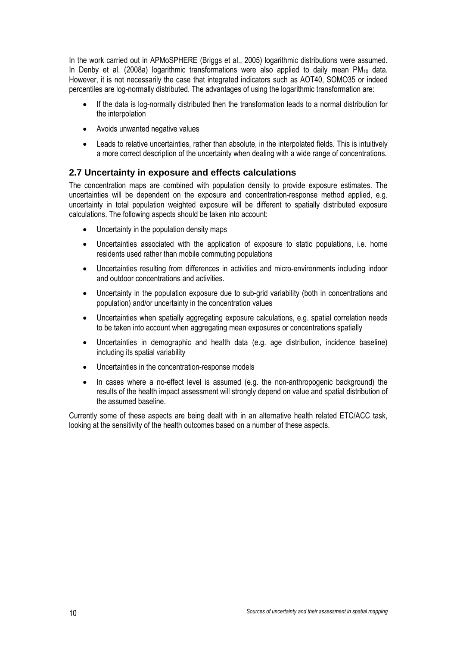In the work carried out in APMoSPHERE (Briggs et al., 2005) logarithmic distributions were assumed. In Denby et al. (2008a) logarithmic transformations were also applied to daily mean  $PM_{10}$  data. However, it is not necessarily the case that integrated indicators such as AOT40, SOMO35 or indeed percentiles are log-normally distributed. The advantages of using the logarithmic transformation are:

- If the data is log-normally distributed then the transformation leads to a normal distribution for the interpolation
- Avoids unwanted negative values
- Leads to relative uncertainties, rather than absolute, in the interpolated fields. This is intuitively a more correct description of the uncertainty when dealing with a wide range of concentrations.

## <span id="page-9-0"></span>**2.7 Uncertainty in exposure and effects calculations**

The concentration maps are combined with population density to provide exposure estimates. The uncertainties will be dependent on the exposure and concentration-response method applied, e.g. uncertainty in total population weighted exposure will be different to spatially distributed exposure calculations. The following aspects should be taken into account:

- Uncertainty in the population density maps
- Uncertainties associated with the application of exposure to static populations, i.e. home residents used rather than mobile commuting populations
- Uncertainties resulting from differences in activities and micro-environments including indoor and outdoor concentrations and activities.
- Uncertainty in the population exposure due to sub-grid variability (both in concentrations and population) and/or uncertainty in the concentration values
- Uncertainties when spatially aggregating exposure calculations, e.g. spatial correlation needs to be taken into account when aggregating mean exposures or concentrations spatially
- Uncertainties in demographic and health data (e.g. age distribution, incidence baseline) including its spatial variability
- Uncertainties in the concentration-response models
- In cases where a no-effect level is assumed (e.g. the non-anthropogenic background) the results of the health impact assessment will strongly depend on value and spatial distribution of the assumed baseline.

Currently some of these aspects are being dealt with in an alternative health related ETC/ACC task, looking at the sensitivity of the health outcomes based on a number of these aspects.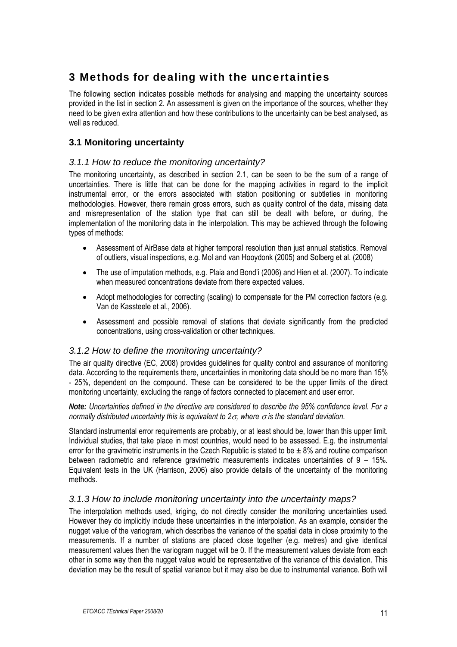## <span id="page-10-0"></span>3 Methods for dealing with the uncertainties

The following section indicates possible methods for analysing and mapping the uncertainty sources provided in the list in section 2. An assessment is given on the importance of the sources, whether they need to be given extra attention and how these contributions to the uncertainty can be best analysed, as well as reduced.

## <span id="page-10-1"></span>**3.1 Monitoring uncertainty**

### <span id="page-10-2"></span>*3.1.1 How to reduce the monitoring uncertainty?*

The monitoring uncertainty, as described in section 2.1, can be seen to be the sum of a range of uncertainties. There is little that can be done for the mapping activities in regard to the implicit instrumental error, or the errors associated with station positioning or subtleties in monitoring methodologies. However, there remain gross errors, such as quality control of the data, missing data and misrepresentation of the station type that can still be dealt with before, or during, the implementation of the monitoring data in the interpolation. This may be achieved through the following types of methods:

- Assessment of AirBase data at higher temporal resolution than just annual statistics. Removal of outliers, visual inspections, e.g. Mol and van Hooydonk (2005) and Solberg et al. (2008)
- The use of imputation methods, e.g. Plaia and Bond'i (2006) and Hien et al. (2007). To indicate when measured concentrations deviate from there expected values.
- Adopt methodologies for correcting (scaling) to compensate for the PM correction factors (e.g. Van de Kassteele et al., 2006).
- Assessment and possible removal of stations that deviate significantly from the predicted concentrations, using cross-validation or other techniques.

## *3.1.2 How to define the monitoring uncertainty?*

<span id="page-10-3"></span>The air quality directive (EC, 2008) provides guidelines for quality control and assurance of monitoring data. According to the requirements there, uncertainties in monitoring data should be no more than 15% - 25%, dependent on the compound. These can be considered to be the upper limits of the direct monitoring uncertainty, excluding the range of factors connected to placement and user error.

*Note: Uncertainties defined in the directive are considered to describe the 95% confidence level. For a normally distributed uncertainty this is equivalent to*  $2\sigma$ *, where*  $\sigma$  *is the standard deviation.* 

Standard instrumental error requirements are probably, or at least should be, lower than this upper limit. Individual studies, that take place in most countries, would need to be assessed. E.g. the instrumental error for the gravimetric instruments in the Czech Republic is stated to be  $\pm 8\%$  and routine comparison between radiometric and reference gravimetric measurements indicates uncertainties of 9 – 15%. Equivalent tests in the UK (Harrison, 2006) also provide details of the uncertainty of the monitoring methods.

#### <span id="page-10-4"></span>*3.1.3 How to include monitoring uncertainty into the uncertainty maps?*

The interpolation methods used, kriging, do not directly consider the monitoring uncertainties used. However they do implicitly include these uncertainties in the interpolation. As an example, consider the nugget value of the variogram, which describes the variance of the spatial data in close proximity to the measurements. If a number of stations are placed close together (e.g. metres) and give identical measurement values then the variogram nugget will be 0. If the measurement values deviate from each other in some way then the nugget value would be representative of the variance of this deviation. This deviation may be the result of spatial variance but it may also be due to instrumental variance. Both will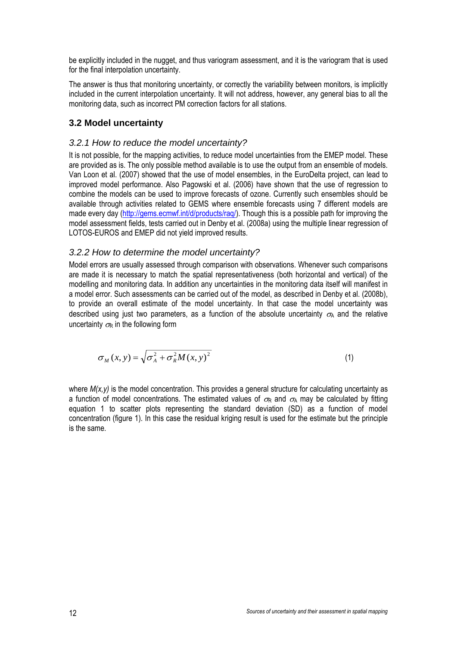be explicitly included in the nugget, and thus variogram assessment, and it is the variogram that is used for the final interpolation uncertainty.

The answer is thus that monitoring uncertainty, or correctly the variability between monitors, is implicitly included in the current interpolation uncertainty. It will not address, however, any general bias to all the monitoring data, such as incorrect PM correction factors for all stations.

## <span id="page-11-0"></span>**3.2 Model uncertainty**

### <span id="page-11-1"></span>*3.2.1 How to reduce the model uncertainty?*

It is not possible, for the mapping activities, to reduce model uncertainties from the EMEP model. These are provided as is. The only possible method available is to use the output from an ensemble of models. Van Loon et al. (2007) showed that the use of model ensembles, in the EuroDelta project, can lead to improved model performance. Also Pagowski et al. (2006) have shown that the use of regression to combine the models can be used to improve forecasts of ozone. Currently such ensembles should be available through activities related to GEMS where ensemble forecasts using 7 different models are made every day ([http://gems.ecmwf.int/d/products/raq/\)](http://gems.ecmwf.int/d/products/raq/). Though this is a possible path for improving the model assessment fields, tests carried out in Denby et al. (2008a) using the multiple linear regression of LOTOS-EUROS and EMEP did not yield improved results.

### *3.2.2 How to determine the model uncertainty?*

<span id="page-11-2"></span>Model errors are usually assessed through comparison with observations. Whenever such comparisons are made it is necessary to match the spatial representativeness (both horizontal and vertical) of the modelling and monitoring data. In addition any uncertainties in the monitoring data itself will manifest in a model error. Such assessments can be carried out of the model, as described in Denby et al. (2008b), to provide an overall estimate of the model uncertainty. In that case the model uncertainty was described using just two parameters, as a function of the absolute uncertainty  $\sigma_A$  and the relative uncertainty  $\sigma_R$  in the following form

$$
\sigma_M(x, y) = \sqrt{\sigma_A^2 + \sigma_R^2 M(x, y)^2}
$$
 (1)

where  $M(x,y)$  is the model concentration. This provides a general structure for calculating uncertainty as a function of model concentrations. The estimated values of  $\sigma_R$  and  $\sigma_A$  may be calculated by fitting equation 1 to scatter plots representing the standard deviation (SD) as a function of model concentration (figure 1). In this case the residual kriging result is used for the estimate but the principle is the same.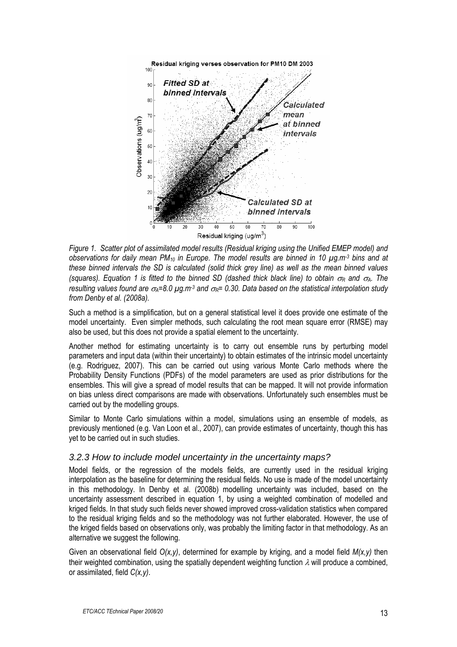

*Figure 1. Scatter plot of assimilated model results (Residual kriging using the Unified EMEP model) and observations for daily mean PM10 in Europe. The model results are binned in 10 µg.m-3 bins and at these binned intervals the SD is calculated (solid thick grey line) as well as the mean binned values (squares). Equation 1 is fitted to the binned SD (dashed thick black line) to obtain*  $\sigma_R$  *and*  $\sigma_A$ *. The resulting values found are*  $\sigma_A=8.0 \mu g.m^{-3}$  *and*  $\sigma_R=0.30$ *. Data based on the statistical interpolation study from Denby et al. (2008a).* 

Such a method is a simplification, but on a general statistical level it does provide one estimate of the model uncertainty. Even simpler methods, such calculating the root mean square error (RMSE) may also be used, but this does not provide a spatial element to the uncertainty.

Another method for estimating uncertainty is to carry out ensemble runs by perturbing model parameters and input data (within their uncertainty) to obtain estimates of the intrinsic model uncertainty (e.g. Rodriguez, 2007). This can be carried out using various Monte Carlo methods where the Probability Density Functions (PDFs) of the model parameters are used as prior distributions for the ensembles. This will give a spread of model results that can be mapped. It will not provide information on bias unless direct comparisons are made with observations. Unfortunately such ensembles must be carried out by the modelling groups.

Similar to Monte Carlo simulations within a model, simulations using an ensemble of models, as previously mentioned (e.g. Van Loon et al., 2007), can provide estimates of uncertainty, though this has yet to be carried out in such studies.

#### *3.2.3 How to include model uncertainty in the uncertainty maps?*

<span id="page-12-0"></span>Model fields, or the regression of the models fields, are currently used in the residual kriging interpolation as the baseline for determining the residual fields. No use is made of the model uncertainty in this methodology. In Denby et al. (2008b) modelling uncertainty was included, based on the uncertainty assessment described in equation 1, by using a weighted combination of modelled and kriged fields. In that study such fields never showed improved cross-validation statistics when compared to the residual kriging fields and so the methodology was not further elaborated. However, the use of the kriged fields based on observations only, was probably the limiting factor in that methodology. As an alternative we suggest the following.

Given an observational field *O(x,y)*, determined for example by kriging, and a model field *M(x,y)* then their weighted combination, using the spatially dependent weighting function  $\lambda$  will produce a combined, or assimilated, field *C(x,y)*.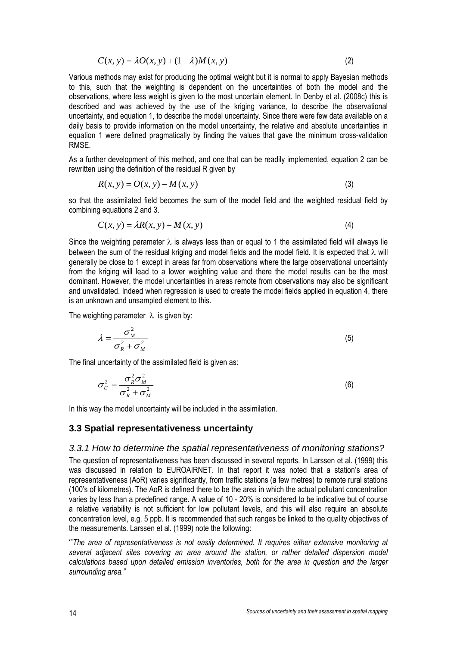$$
C(x, y) = \lambda O(x, y) + (1 - \lambda)M(x, y)
$$
\n(2)

Various methods may exist for producing the optimal weight but it is normal to apply Bayesian methods to this, such that the weighting is dependent on the uncertainties of both the model and the observations, where less weight is given to the most uncertain element. In Denby et al. (2008c) this is described and was achieved by the use of the kriging variance, to describe the observational uncertainty, and equation 1, to describe the model uncertainty. Since there were few data available on a daily basis to provide information on the model uncertainty, the relative and absolute uncertainties in equation 1 were defined pragmatically by finding the values that gave the minimum cross-validation RMSE.

As a further development of this method, and one that can be readily implemented, equation 2 can be rewritten using the definition of the residual R given by

$$
R(x, y) = O(x, y) - M(x, y)
$$
\n<sup>(3)</sup>

so that the assimilated field becomes the sum of the model field and the weighted residual field by combining equations 2 and 3.

$$
C(x, y) = \lambda R(x, y) + M(x, y)
$$
\n<sup>(4)</sup>

Since the weighting parameter  $\lambda$  is always less than or equal to 1 the assimilated field will always lie between the sum of the residual kriging and model fields and the model field. It is expected that  $\lambda$  will generally be close to 1 except in areas far from observations where the large observational uncertainty from the kriging will lead to a lower weighting value and there the model results can be the most dominant. However, the model uncertainties in areas remote from observations may also be significant and unvalidated. Indeed when regression is used to create the model fields applied in equation 4, there is an unknown and unsampled element to this.

The weighting parameter  $\lambda$  is given by:

$$
\lambda = \frac{\sigma_M^2}{\sigma_R^2 + \sigma_M^2} \tag{5}
$$

The final uncertainty of the assimilated field is given as:

$$
\sigma_C^2 = \frac{\sigma_R^2 \sigma_M^2}{\sigma_R^2 + \sigma_M^2}
$$
 (6)

In this way the model uncertainty will be included in the assimilation.

#### <span id="page-13-0"></span>**3.3 Spatial representativeness uncertainty**

#### <span id="page-13-1"></span>*3.3.1 How to determine the spatial representativeness of monitoring stations?*

The question of representativeness has been discussed in several reports. In Larssen et al. (1999) this was discussed in relation to EUROAIRNET. In that report it was noted that a station's area of representativeness (AoR) varies significantly, from traffic stations (a few metres) to remote rural stations (100's of kilometres). The AoR is defined there to be the area in which the actual pollutant concentration varies by less than a predefined range. A value of 10 - 20% is considered to be indicative but of course a relative variability is not sufficient for low pollutant levels, and this will also require an absolute concentration level, e.g. 5 ppb. It is recommended that such ranges be linked to the quality objectives of the measurements. Larssen et al. (1999) note the following:

'"*The area of representativeness is not easily determined. It requires either extensive monitoring at several adjacent sites covering an area around the station, or rather detailed dispersion model calculations based upon detailed emission inventories, both for the area in question and the larger surrounding area."*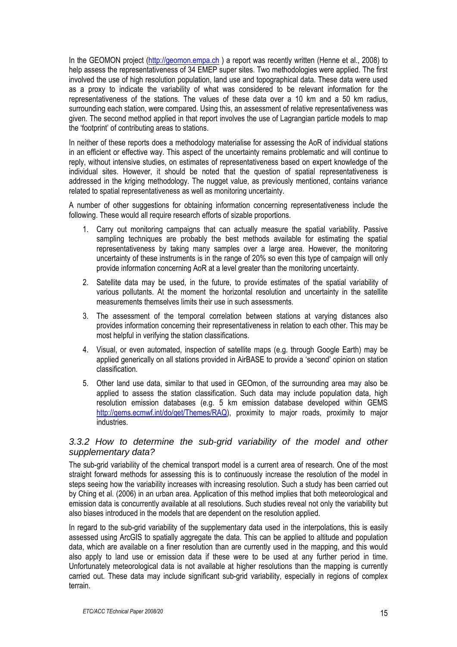In the GEOMON project (http://geomon.empa.ch) a report was recently written (Henne et al., 2008) to help assess the representativeness of 34 EMEP super sites. Two methodologies were applied. The first involved the use of high resolution population, land use and topographical data. These data were used as a proxy to indicate the variability of what was considered to be relevant information for the representativeness of the stations. The values of these data over a 10 km and a 50 km radius, surrounding each station, were compared. Using this, an assessment of relative representativeness was given. The second method applied in that report involves the use of Lagrangian particle models to map the 'footprint' of contributing areas to stations.

In neither of these reports does a methodology materialise for assessing the AoR of individual stations in an efficient or effective way. This aspect of the uncertainty remains problematic and will continue to reply, without intensive studies, on estimates of representativeness based on expert knowledge of the individual sites. However, it should be noted that the question of spatial representativeness is addressed in the kriging methodology. The nugget value, as previously mentioned, contains variance related to spatial representativeness as well as monitoring uncertainty.

A number of other suggestions for obtaining information concerning representativeness include the following. These would all require research efforts of sizable proportions.

- 1. Carry out monitoring campaigns that can actually measure the spatial variability. Passive sampling techniques are probably the best methods available for estimating the spatial representativeness by taking many samples over a large area. However, the monitoring uncertainty of these instruments is in the range of 20% so even this type of campaign will only provide information concerning AoR at a level greater than the monitoring uncertainty.
- 2. Satellite data may be used, in the future, to provide estimates of the spatial variability of various pollutants. At the moment the horizontal resolution and uncertainty in the satellite measurements themselves limits their use in such assessments.
- 3. The assessment of the temporal correlation between stations at varying distances also provides information concerning their representativeness in relation to each other. This may be most helpful in verifying the station classifications.
- 4. Visual, or even automated, inspection of satellite maps (e.g. through Google Earth) may be applied generically on all stations provided in AirBASE to provide a 'second' opinion on station classification.
- 5. Other land use data, similar to that used in GEOmon, of the surrounding area may also be applied to assess the station classification. Such data may include population data, high resolution emission databases (e.g. 5 km emission database developed within GEMS [http://gems.ecmwf.int/do/get/Themes/RAQ\)](http://gems.ecmwf.int/do/get/Themes/RAQ), proximity to major roads, proximity to major industries.

## <span id="page-14-0"></span>*3.3.2 How to determine the sub-grid variability of the model and other supplementary data?*

The sub-grid variability of the chemical transport model is a current area of research. One of the most straight forward methods for assessing this is to continuously increase the resolution of the model in steps seeing how the variability increases with increasing resolution. Such a study has been carried out by Ching et al. (2006) in an urban area. Application of this method implies that both meteorological and emission data is concurrently available at all resolutions. Such studies reveal not only the variability but also biases introduced in the models that are dependent on the resolution applied.

In regard to the sub-grid variability of the supplementary data used in the interpolations, this is easily assessed using ArcGIS to spatially aggregate the data. This can be applied to altitude and population data, which are available on a finer resolution than are currently used in the mapping, and this would also apply to land use or emission data if these were to be used at any further period in time. Unfortunately meteorological data is not available at higher resolutions than the mapping is currently carried out. These data may include significant sub-grid variability, especially in regions of complex terrain.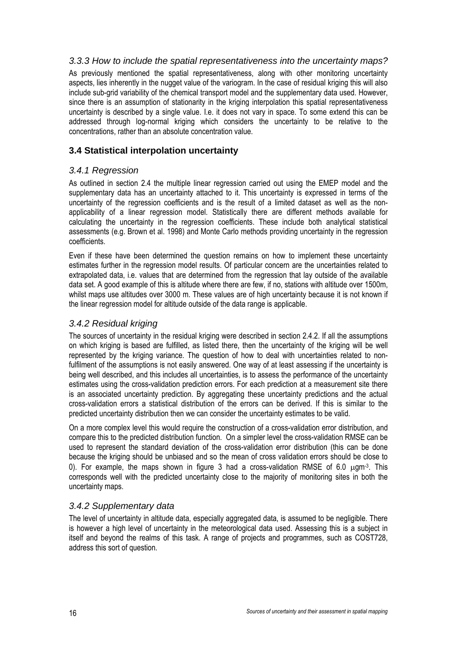#### *3.3.3 How to include the spatial representativeness into the uncertainty maps?*

<span id="page-15-0"></span>As previously mentioned the spatial representativeness, along with other monitoring uncertainty aspects, lies inherently in the nugget value of the variogram. In the case of residual kriging this will also include sub-grid variability of the chemical transport model and the supplementary data used. However, since there is an assumption of stationarity in the kriging interpolation this spatial representativeness uncertainty is described by a single value. I.e. it does not vary in space. To some extend this can be addressed through log-normal kriging which considers the uncertainty to be relative to the concentrations, rather than an absolute concentration value.

## <span id="page-15-1"></span>**3.4 Statistical interpolation uncertainty**

### <span id="page-15-2"></span>*3.4.1 Regression*

As outlined in section 2.4 the multiple linear regression carried out using the EMEP model and the supplementary data has an uncertainty attached to it. This uncertainty is expressed in terms of the uncertainty of the regression coefficients and is the result of a limited dataset as well as the nonapplicability of a linear regression model. Statistically there are different methods available for calculating the uncertainty in the regression coefficients. These include both analytical statistical assessments (e.g. Brown et al. 1998) and Monte Carlo methods providing uncertainty in the regression coefficients.

Even if these have been determined the question remains on how to implement these uncertainty estimates further in the regression model results. Of particular concern are the uncertainties related to extrapolated data, i.e. values that are determined from the regression that lay outside of the available data set. A good example of this is altitude where there are few, if no, stations with altitude over 1500m, whilst maps use altitudes over 3000 m. These values are of high uncertainty because it is not known if the linear regression model for altitude outside of the data range is applicable.

#### *3.4.2 Residual kriging*

<span id="page-15-3"></span>The sources of uncertainty in the residual kriging were described in section 2.4.2. If all the assumptions on which kriging is based are fulfilled, as listed there, then the uncertainty of the kriging will be well represented by the kriging variance. The question of how to deal with uncertainties related to nonfulfilment of the assumptions is not easily answered. One way of at least assessing if the uncertainty is being well described, and this includes all uncertainties, is to assess the performance of the uncertainty estimates using the cross-validation prediction errors. For each prediction at a measurement site there is an associated uncertainty prediction. By aggregating these uncertainty predictions and the actual cross-validation errors a statistical distribution of the errors can be derived. If this is similar to the predicted uncertainty distribution then we can consider the uncertainty estimates to be valid.

On a more complex level this would require the construction of a cross-validation error distribution, and compare this to the predicted distribution function. On a simpler level the cross-validation RMSE can be used to represent the standard deviation of the cross-validation error distribution (this can be done because the kriging should be unbiased and so the mean of cross validation errors should be close to 0). For example, the maps shown in figure 3 had a cross-validation RMSE of 6.0  $\mu$ qm<sup>-3</sup>. This corresponds well with the predicted uncertainty close to the majority of monitoring sites in both the uncertainty maps.

#### *3.4.2 Supplementary data*

<span id="page-15-4"></span>The level of uncertainty in altitude data, especially aggregated data, is assumed to be negligible. There is however a high level of uncertainty in the meteorological data used. Assessing this is a subject in itself and beyond the realms of this task. A range of projects and programmes, such as COST728, address this sort of question.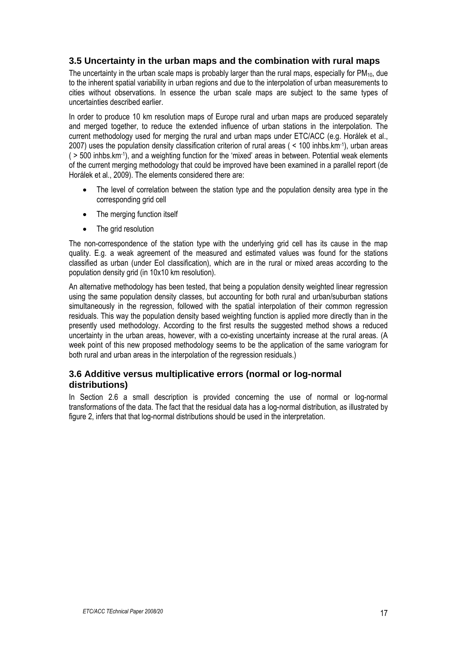## <span id="page-16-0"></span>**3.5 Uncertainty in the urban maps and the combination with rural maps**

The uncertainty in the urban scale maps is probably larger than the rural maps, especially for PM<sub>10</sub>, due to the inherent spatial variability in urban regions and due to the interpolation of urban measurements to cities without observations. In essence the urban scale maps are subject to the same types of uncertainties described earlier.

In order to produce 10 km resolution maps of Europe rural and urban maps are produced separately and merged together, to reduce the extended influence of urban stations in the interpolation. The current methodology used for merging the rural and urban maps under ETC/ACC (e.g. Horálek et al., 2007) uses the population density classification criterion of rural areas ( < 100 inhbs.km-1), urban areas ( > 500 inhbs.km-1), and a weighting function for the 'mixed' areas in between. Potential weak elements of the current merging methodology that could be improved have been examined in a parallel report (de Horálek et al., 2009). The elements considered there are:

- The level of correlation between the station type and the population density area type in the corresponding grid cell
- The merging function itself
- The grid resolution

The non-correspondence of the station type with the underlying grid cell has its cause in the map quality. E.g. a weak agreement of the measured and estimated values was found for the stations classified as urban (under EoI classification), which are in the rural or mixed areas according to the population density grid (in 10x10 km resolution).

An alternative methodology has been tested, that being a population density weighted linear regression using the same population density classes, but accounting for both rural and urban/suburban stations simultaneously in the regression, followed with the spatial interpolation of their common regression residuals. This way the population density based weighting function is applied more directly than in the presently used methodology. According to the first results the suggested method shows a reduced uncertainty in the urban areas, however, with a co-existing uncertainty increase at the rural areas. (A week point of this new proposed methodology seems to be the application of the same variogram for both rural and urban areas in the interpolation of the regression residuals.)

### <span id="page-16-1"></span>**3.6 Additive versus multiplicative errors (normal or log-normal distributions)**

In Section 2.6 a small description is provided concerning the use of normal or log-normal transformations of the data. The fact that the residual data has a log-normal distribution, as illustrated by figure 2, infers that that log-normal distributions should be used in the interpretation.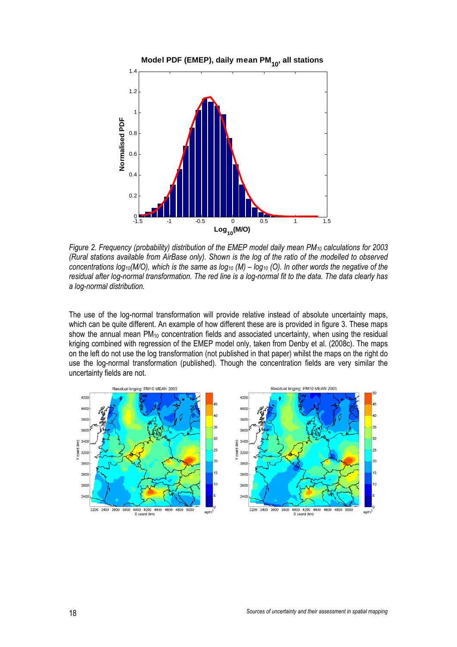

*Figure 2. Frequency (probability) distribution of the EMEP model daily mean PM10 calculations for 2003 (Rural stations available from AirBase only). Shown is the log of the ratio of the modelled to observed*  concentrations log<sub>10</sub>(M/O), which is the same as log<sub>10</sub> (M) – log<sub>10</sub> (O). In other words the negative of the *residual after log-normal transformation. The red line is a log-normal fit to the data. The data clearly has a log-normal distribution.* 

The use of the log-normal transformation will provide relative instead of absolute uncertainty maps, which can be quite different. An example of how different these are is provided in figure 3. These maps show the annual mean  $PM_{10}$  concentration fields and associated uncertainty, when using the residual kriging combined with regression of the EMEP model only, taken from Denby et al. (2008c). The maps on the left do not use the log transformation (not published in that paper) whilst the maps on the right do use the log-normal transformation (published). Though the concentration fields are very similar the uncertainty fields are not.

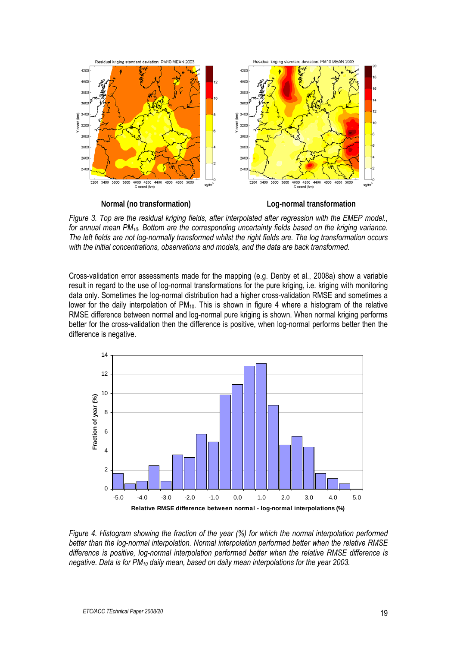

**Normal (no transformation) Log-normal transformation** 

*Figure 3. Top are the residual kriging fields, after interpolated after regression with the EMEP model., for annual mean PM10. Bottom are the corresponding uncertainty fields based on the kriging variance. The left fields are not log-normally transformed whilst the right fields are. The log transformation occurs with the initial concentrations, observations and models, and the data are back transformed.* 

Cross-validation error assessments made for the mapping (e.g. Denby et al., 2008a) show a variable result in regard to the use of log-normal transformations for the pure kriging, i.e. kriging with monitoring data only. Sometimes the log-normal distribution had a higher cross-validation RMSE and sometimes a lower for the daily interpolation of PM<sub>10</sub>. This is shown in figure 4 where a histogram of the relative RMSE difference between normal and log-normal pure kriging is shown. When normal kriging performs better for the cross-validation then the difference is positive, when log-normal performs better then the difference is negative.



*Figure 4. Histogram showing the fraction of the year (%) for which the normal interpolation performed better than the log-normal interpolation. Normal interpolation performed better when the relative RMSE difference is positive, log-normal interpolation performed better when the relative RMSE difference is negative. Data is for PM10 daily mean, based on daily mean interpolations for the year 2003.*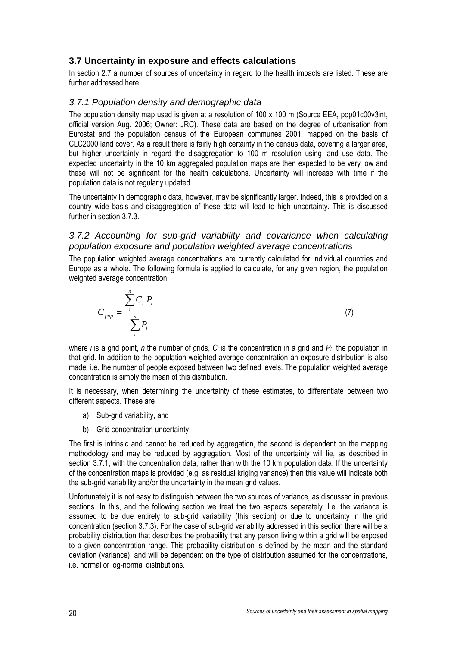## <span id="page-19-0"></span>**3.7 Uncertainty in exposure and effects calculations**

In section 2.7 a number of sources of uncertainty in regard to the health impacts are listed. These are further addressed here.

#### *3.7.1 Population density and demographic data*

<span id="page-19-1"></span>The population density map used is given at a resolution of 100 x 100 m (Source EEA, pop01c00v3int, official version Aug. 2006; Owner: JRC). These data are based on the degree of urbanisation from Eurostat and the population census of the European communes 2001, mapped on the basis of CLC2000 land cover. As a result there is fairly high certainty in the census data, covering a larger area, but higher uncertainty in regard the disaggregation to 100 m resolution using land use data. The expected uncertainty in the 10 km aggregated population maps are then expected to be very low and these will not be significant for the health calculations. Uncertainty will increase with time if the population data is not regularly updated.

The uncertainty in demographic data, however, may be significantly larger. Indeed, this is provided on a country wide basis and disaggregation of these data will lead to high uncertainty. This is discussed further in section 3.7.3.

#### <span id="page-19-2"></span>3.7.2 Accounting for sub-grid variability and covariance when calculating *population exposure and population weighted average concentrations*

The population weighted average concentrations are currently calculated for individual countries and Europe as a whole. The following formula is applied to calculate, for any given region, the population weighted average concentration:

$$
C_{pop} = \frac{\sum_{i}^{n} C_i P_i}{\sum_{i}^{n} P_i}
$$
\n(7)

where *i* is a grid point, *n* the number of grids, *Ci* is the concentration in a grid and *Pi* the population in that grid. In addition to the population weighted average concentration an exposure distribution is also made, i.e. the number of people exposed between two defined levels. The population weighted average concentration is simply the mean of this distribution.

It is necessary, when determining the uncertainty of these estimates, to differentiate between two different aspects. These are

- a) Sub-grid variability, and
- b) Grid concentration uncertainty

The first is intrinsic and cannot be reduced by aggregation, the second is dependent on the mapping methodology and may be reduced by aggregation. Most of the uncertainty will lie, as described in section 3.7.1, with the concentration data, rather than with the 10 km population data. If the uncertainty of the concentration maps is provided (e.g. as residual kriging variance) then this value will indicate both the sub-grid variability and/or the uncertainty in the mean grid values.

Unfortunately it is not easy to distinguish between the two sources of variance, as discussed in previous sections. In this, and the following section we treat the two aspects separately. I.e. the variance is assumed to be due entirely to sub-grid variability (this section) or due to uncertainty in the grid concentration (section 3.7.3). For the case of sub-grid variability addressed in this section there will be a probability distribution that describes the probability that any person living within a grid will be exposed to a given concentration range. This probability distribution is defined by the mean and the standard deviation (variance), and will be dependent on the type of distribution assumed for the concentrations, i.e. normal or log-normal distributions.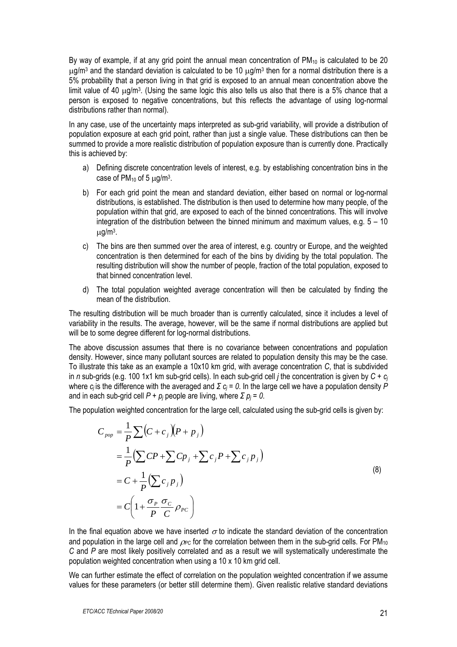By way of example, if at any grid point the annual mean concentration of  $PM_{10}$  is calculated to be 20  $\mu$ g/m<sup>3</sup> and the standard deviation is calculated to be 10  $\mu$ g/m<sup>3</sup> then for a normal distribution there is a 5% probability that a person living in that grid is exposed to an annual mean concentration above the limit value of 40  $\mu$ g/m<sup>3</sup>. (Using the same logic this also tells us also that there is a 5% chance that a person is exposed to negative concentrations, but this reflects the advantage of using log-normal distributions rather than normal).

In any case, use of the uncertainty maps interpreted as sub-grid variability, will provide a distribution of population exposure at each grid point, rather than just a single value. These distributions can then be summed to provide a more realistic distribution of population exposure than is currently done. Practically this is achieved by:

- a) Defining discrete concentration levels of interest, e.g. by establishing concentration bins in the case of  $PM_{10}$  of 5  $\mu$ g/m<sup>3</sup>.
- b) For each grid point the mean and standard deviation, either based on normal or log-normal distributions, is established. The distribution is then used to determine how many people, of the population within that grid, are exposed to each of the binned concentrations. This will involve integration of the distribution between the binned minimum and maximum values, e.g.  $5 - 10$  $\mu$ g/m<sup>3</sup>.
- c) The bins are then summed over the area of interest, e.g. country or Europe, and the weighted concentration is then determined for each of the bins by dividing by the total population. The resulting distribution will show the number of people, fraction of the total population, exposed to that binned concentration level.
- d) The total population weighted average concentration will then be calculated by finding the mean of the distribution.

The resulting distribution will be much broader than is currently calculated, since it includes a level of variability in the results. The average, however, will be the same if normal distributions are applied but will be to some degree different for log-normal distributions.

The above discussion assumes that there is no covariance between concentrations and population density. However, since many pollutant sources are related to population density this may be the case. To illustrate this take as an example a 10x10 km grid, with average concentration *C*, that is subdivided in *n* sub-grids (e.g. 100 1x1 km sub-grid cells). In each sub-grid cell *j* the concentration is given by *C + cj* where *cj* is the difference with the averaged and *Σ cj = 0*. In the large cell we have a population density *P* and in each sub-grid cell  $P + p_j$  people are living, where  $\Sigma p_j = 0$ .

The population weighted concentration for the large cell, calculated using the sub-grid cells is given by:

$$
C_{pop} = \frac{1}{P} \sum (C + c_j)(P + p_j)
$$
  
=  $\frac{1}{P} (\sum CP + \sum Cp_j + \sum c_jP + \sum c_j p_j)$   
=  $C + \frac{1}{P} (\sum c_j p_j)$   
=  $C \left(1 + \frac{\sigma_p}{P} \frac{\sigma_c}{C} \rho_{pc}\right)$  (8)

In the final equation above we have inserted  $\sigma$  to indicate the standard deviation of the concentration and population in the large cell and  $\rho_{\rm PC}$  for the correlation between them in the sub-grid cells. For PM<sub>10</sub> *C* and *P* are most likely positively correlated and as a result we will systematically underestimate the population weighted concentration when using a 10 x 10 km grid cell.

We can further estimate the effect of correlation on the population weighted concentration if we assume values for these parameters (or better still determine them). Given realistic relative standard deviations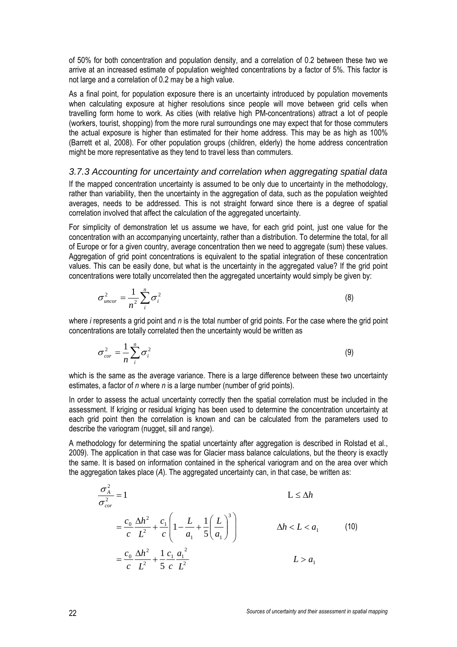of 50% for both concentration and population density, and a correlation of 0.2 between these two we arrive at an increased estimate of population weighted concentrations by a factor of 5%. This factor is not large and a correlation of 0.2 may be a high value.

As a final point, for population exposure there is an uncertainty introduced by population movements when calculating exposure at higher resolutions since people will move between grid cells when travelling form home to work. As cities (with relative high PM-concentrations) attract a lot of people (workers, tourist, shopping) from the more rural surroundings one may expect that for those commuters the actual exposure is higher than estimated for their home address. This may be as high as 100% (Barrett et al, 2008). For other population groups (children, elderly) the home address concentration might be more representative as they tend to travel less than commuters.

#### *3.7.3 Accounting for uncertainty and correlation when aggregating spatial data*

<span id="page-21-0"></span>If the mapped concentration uncertainty is assumed to be only due to uncertainty in the methodology, rather than variability, then the uncertainty in the aggregation of data, such as the population weighted averages, needs to be addressed. This is not straight forward since there is a degree of spatial correlation involved that affect the calculation of the aggregated uncertainty.

For simplicity of demonstration let us assume we have, for each grid point, just one value for the concentration with an accompanying uncertainty, rather than a distribution. To determine the total, for all of Europe or for a given country, average concentration then we need to aggregate (sum) these values. Aggregation of grid point concentrations is equivalent to the spatial integration of these concentration values. This can be easily done, but what is the uncertainty in the aggregated value? If the grid point concentrations were totally uncorrelated then the aggregated uncertainty would simply be given by:

$$
\sigma_{\textit{uncor}}^2 = \frac{1}{n^2} \sum_{i}^{n} \sigma_i^2
$$
 (8)

where *i* represents a grid point and *n* is the total number of grid points. For the case where the grid point concentrations are totally correlated then the uncertainty would be written as

$$
\sigma_{cor}^2 = \frac{1}{n} \sum_{i}^{n} \sigma_i^2
$$
 (9)

which is the same as the average variance. There is a large difference between these two uncertainty estimates, a factor of *n* where *n* is a large number (number of grid points).

In order to assess the actual uncertainty correctly then the spatial correlation must be included in the assessment. If kriging or residual kriging has been used to determine the concentration uncertainty at each grid point then the correlation is known and can be calculated from the parameters used to describe the variogram (nugget, sill and range).

A methodology for determining the spatial uncertainty after aggregation is described in Rolstad et al., 2009). The application in that case was for Glacier mass balance calculations, but the theory is exactly the same. It is based on information contained in the spherical variogram and on the area over which the aggregation takes place (*A*). The aggregated uncertainty can, in that case, be written as:

$$
\frac{\sigma_A^2}{\sigma_{cor}^2} = 1
$$
\n
$$
L \leq \Delta h
$$
\n
$$
= \frac{c_0}{c} \frac{\Delta h^2}{L^2} + \frac{c_1}{c} \left( 1 - \frac{L}{a_1} + \frac{1}{5} \left( \frac{L}{a_1} \right)^3 \right)
$$
\n
$$
= \frac{c_0}{c} \frac{\Delta h^2}{L^2} + \frac{1}{5} \frac{c_1}{c} \frac{a_1^2}{L^2}
$$
\n
$$
L > a_1
$$
\n(10)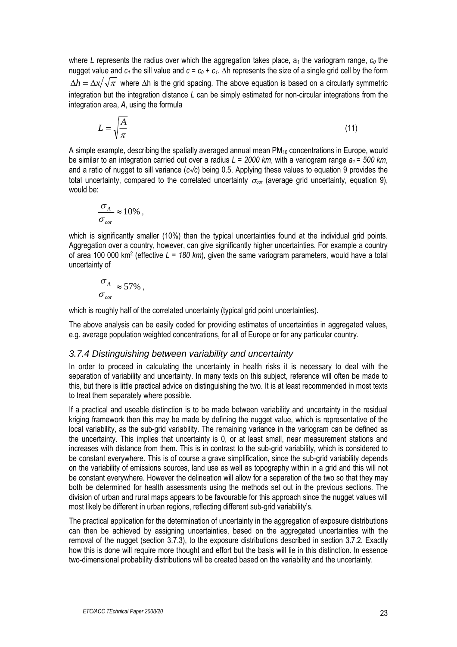where L represents the radius over which the aggregation takes place,  $a_1$  the variogram range,  $c_0$  the nugget value and  $c_1$  the sill value and  $c = c_0 + c_1$ .  $\Delta h$  represents the size of a single grid cell by the form  $\Delta h = \Delta x / \sqrt{\pi}$  where  $\Delta h$  is the grid spacing. The above equation is based on a circularly symmetric integration but the integration distance *L* can be simply estimated for non-circular integrations from the integration area, *A*, using the formula

$$
L = \sqrt{\frac{A}{\pi}}\tag{11}
$$

A simple example, describing the spatially averaged annual mean  $PM_{10}$  concentrations in Europe, would be similar to an integration carried out over a radius *L = 2000 km*, with a variogram range *a1 = 500 km*, and a ratio of nugget to sill variance (*c1/c*) being 0.5. Applying these values to equation 9 provides the total uncertainty, compared to the correlated uncertainty  $\sigma_{cor}$  (average grid uncertainty, equation 9), would be:

$$
\frac{\sigma_{A}}{\sigma_{cor}} \approx 10\% ,
$$

which is significantly smaller (10%) than the typical uncertainties found at the individual grid points. Aggregation over a country, however, can give significantly higher uncertainties. For example a country of area 100 000 km2 (effective *L = 180 km*), given the same variogram parameters, would have a total uncertainty of

$$
\frac{\sigma_{A}}{\sigma_{cor}} \approx 57\% ,
$$

which is roughly half of the correlated uncertainty (typical grid point uncertainties).

The above analysis can be easily coded for providing estimates of uncertainties in aggregated values, e.g. average population weighted concentrations, for all of Europe or for any particular country.

#### *3.7.4 Distinguishing between variability and uncertainty*

<span id="page-22-0"></span>In order to proceed in calculating the uncertainty in health risks it is necessary to deal with the separation of variability and uncertainty. In many texts on this subject, reference will often be made to this, but there is little practical advice on distinguishing the two. It is at least recommended in most texts to treat them separately where possible.

If a practical and useable distinction is to be made between variability and uncertainty in the residual kriging framework then this may be made by defining the nugget value, which is representative of the local variability, as the sub-grid variability. The remaining variance in the variogram can be defined as the uncertainty. This implies that uncertainty is 0, or at least small, near measurement stations and increases with distance from them. This is in contrast to the sub-grid variability, which is considered to be constant everywhere. This is of course a grave simplification, since the sub-grid variability depends on the variability of emissions sources, land use as well as topography within in a grid and this will not be constant everywhere. However the delineation will allow for a separation of the two so that they may both be determined for health assessments using the methods set out in the previous sections. The division of urban and rural maps appears to be favourable for this approach since the nugget values will most likely be different in urban regions, reflecting different sub-grid variability's.

The practical application for the determination of uncertainty in the aggregation of exposure distributions can then be achieved by assigning uncertainties, based on the aggregated uncertainties with the removal of the nugget (section 3.7.3), to the exposure distributions described in section 3.7.2. Exactly how this is done will require more thought and effort but the basis will lie in this distinction. In essence two-dimensional probability distributions will be created based on the variability and the uncertainty.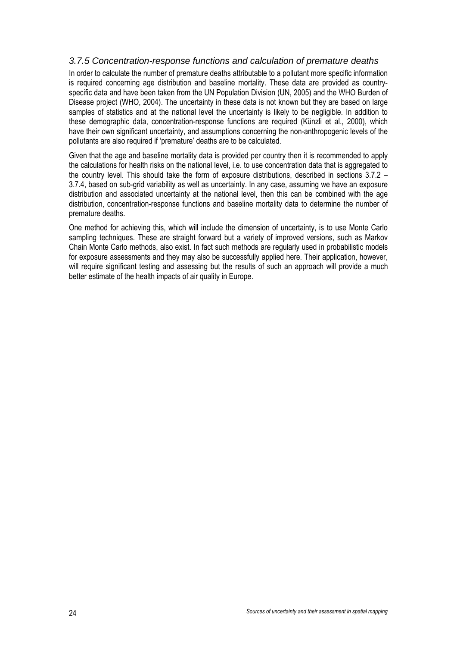### *3.7.5 Concentration-response functions and calculation of premature deaths*

<span id="page-23-0"></span>In order to calculate the number of premature deaths attributable to a pollutant more specific information is required concerning age distribution and baseline mortality. These data are provided as countryspecific data and have been taken from the UN Population Division (UN, 2005) and the WHO Burden of Disease project (WHO, 2004). The uncertainty in these data is not known but they are based on large samples of statistics and at the national level the uncertainty is likely to be negligible. In addition to these demographic data, concentration-response functions are required (Künzli et al., 2000), which have their own significant uncertainty, and assumptions concerning the non-anthropogenic levels of the pollutants are also required if 'premature' deaths are to be calculated.

Given that the age and baseline mortality data is provided per country then it is recommended to apply the calculations for health risks on the national level, i.e. to use concentration data that is aggregated to the country level. This should take the form of exposure distributions, described in sections 3.7.2 – 3.7.4, based on sub-grid variability as well as uncertainty. In any case, assuming we have an exposure distribution and associated uncertainty at the national level, then this can be combined with the age distribution, concentration-response functions and baseline mortality data to determine the number of premature deaths.

One method for achieving this, which will include the dimension of uncertainty, is to use Monte Carlo sampling techniques. These are straight forward but a variety of improved versions, such as Markov Chain Monte Carlo methods, also exist. In fact such methods are regularly used in probabilistic models for exposure assessments and they may also be successfully applied here. Their application, however, will require significant testing and assessing but the results of such an approach will provide a much better estimate of the health impacts of air quality in Europe.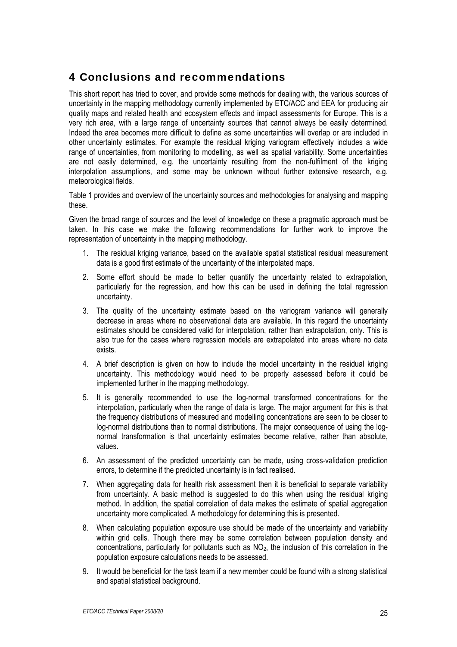## <span id="page-24-0"></span>4 Conclusions and recommendations

This short report has tried to cover, and provide some methods for dealing with, the various sources of uncertainty in the mapping methodology currently implemented by ETC/ACC and EEA for producing air quality maps and related health and ecosystem effects and impact assessments for Europe. This is a very rich area, with a large range of uncertainty sources that cannot always be easily determined. Indeed the area becomes more difficult to define as some uncertainties will overlap or are included in other uncertainty estimates. For example the residual kriging variogram effectively includes a wide range of uncertainties, from monitoring to modelling, as well as spatial variability. Some uncertainties are not easily determined, e.g. the uncertainty resulting from the non-fulfilment of the kriging interpolation assumptions, and some may be unknown without further extensive research, e.g. meteorological fields.

Table 1 provides and overview of the uncertainty sources and methodologies for analysing and mapping these.

Given the broad range of sources and the level of knowledge on these a pragmatic approach must be taken. In this case we make the following recommendations for further work to improve the representation of uncertainty in the mapping methodology.

- 1. The residual kriging variance, based on the available spatial statistical residual measurement data is a good first estimate of the uncertainty of the interpolated maps.
- 2. Some effort should be made to better quantify the uncertainty related to extrapolation, particularly for the regression, and how this can be used in defining the total regression uncertainty.
- 3. The quality of the uncertainty estimate based on the variogram variance will generally decrease in areas where no observational data are available. In this regard the uncertainty estimates should be considered valid for interpolation, rather than extrapolation, only. This is also true for the cases where regression models are extrapolated into areas where no data exists.
- 4. A brief description is given on how to include the model uncertainty in the residual kriging uncertainty. This methodology would need to be properly assessed before it could be implemented further in the mapping methodology.
- 5. It is generally recommended to use the log-normal transformed concentrations for the interpolation, particularly when the range of data is large. The major argument for this is that the frequency distributions of measured and modelling concentrations are seen to be closer to log-normal distributions than to normal distributions. The major consequence of using the lognormal transformation is that uncertainty estimates become relative, rather than absolute, values.
- 6. An assessment of the predicted uncertainty can be made, using cross-validation prediction errors, to determine if the predicted uncertainty is in fact realised.
- 7. When aggregating data for health risk assessment then it is beneficial to separate variability from uncertainty. A basic method is suggested to do this when using the residual kriging method. In addition, the spatial correlation of data makes the estimate of spatial aggregation uncertainty more complicated. A methodology for determining this is presented.
- 8. When calculating population exposure use should be made of the uncertainty and variability within grid cells. Though there may be some correlation between population density and concentrations, particularly for pollutants such as  $NO<sub>2</sub>$ , the inclusion of this correlation in the population exposure calculations needs to be assessed.
- 9. It would be beneficial for the task team if a new member could be found with a strong statistical and spatial statistical background.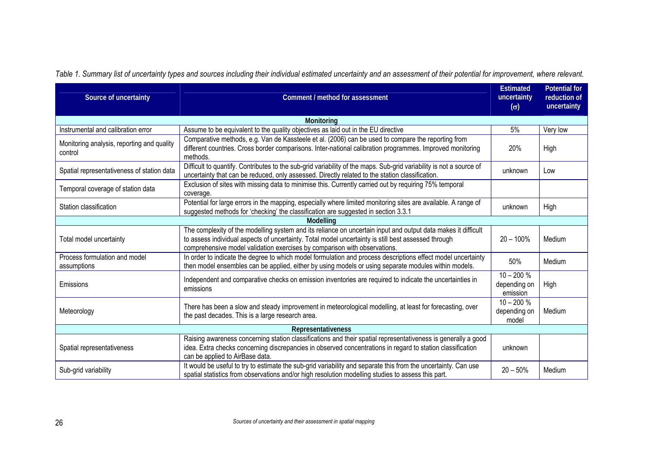*Table 1. Summary list of uncertainty types and sources including their individual estimated uncertainty and an assessment of their potential for improvement, where relevant.* 

| Source of uncertainty                                 | Comment / method for assessment                                                                                                                                                                                                                                                                   | <b>Estimated</b><br>uncertainty<br>$(\sigma)$ | <b>Potential for</b><br>reduction of<br>uncertainty |  |  |  |
|-------------------------------------------------------|---------------------------------------------------------------------------------------------------------------------------------------------------------------------------------------------------------------------------------------------------------------------------------------------------|-----------------------------------------------|-----------------------------------------------------|--|--|--|
| Monitoring                                            |                                                                                                                                                                                                                                                                                                   |                                               |                                                     |  |  |  |
| Instrumental and calibration error                    | Assume to be equivalent to the quality objectives as laid out in the EU directive                                                                                                                                                                                                                 | 5%                                            | Very low                                            |  |  |  |
| Monitoring analysis, reporting and quality<br>control | Comparative methods, e.g. Van de Kassteele et al. (2006) can be used to compare the reporting from<br>different countries. Cross border comparisons. Inter-national calibration programmes. Improved monitoring<br>methods.                                                                       | 20%                                           | High                                                |  |  |  |
| Spatial representativeness of station data            | Difficult to quantify. Contributes to the sub-grid variability of the maps. Sub-grid variability is not a source of<br>uncertainty that can be reduced, only assessed. Directly related to the station classification.                                                                            | unknown                                       | Low                                                 |  |  |  |
| Temporal coverage of station data                     | Exclusion of sites with missing data to minimise this. Currently carried out by requiring 75% temporal<br>coverage.                                                                                                                                                                               |                                               |                                                     |  |  |  |
| Station classification                                | Potential for large errors in the mapping, especially where limited monitoring sites are available. A range of<br>suggested methods for 'checking' the classification are suggested in section 3.3.1                                                                                              | unknown                                       | High                                                |  |  |  |
|                                                       | Modelling                                                                                                                                                                                                                                                                                         |                                               |                                                     |  |  |  |
| Total model uncertainty                               | The complexity of the modelling system and its reliance on uncertain input and output data makes it difficult<br>to assess individual aspects of uncertainty. Total model uncertainty is still best assessed through<br>comprehensive model validation exercises by comparison with observations. | $20 - 100%$                                   | Medium                                              |  |  |  |
| Process formulation and model<br>assumptions          | In order to indicate the degree to which model formulation and process descriptions effect model uncertainty<br>then model ensembles can be applied, either by using models or using separate modules within models.                                                                              | 50%                                           | Medium                                              |  |  |  |
| Emissions                                             | Independent and comparative checks on emission inventories are required to indicate the uncertainties in<br>emissions                                                                                                                                                                             | $10 - 200 %$<br>depending on<br>emission      | High                                                |  |  |  |
| Meteorology                                           | There has been a slow and steady improvement in meteorological modelling, at least for forecasting, over<br>the past decades. This is a large research area.                                                                                                                                      | $10 - 200 %$<br>depending on<br>model         | Medium                                              |  |  |  |
| Representativeness                                    |                                                                                                                                                                                                                                                                                                   |                                               |                                                     |  |  |  |
| Spatial representativeness                            | Raising awareness concerning station classifications and their spatial representativeness is generally a good<br>idea. Extra checks concerning discrepancies in observed concentrations in regard to station classification<br>can be applied to AirBase data.                                    | unknown                                       |                                                     |  |  |  |
| Sub-grid variability                                  | It would be useful to try to estimate the sub-grid variability and separate this from the uncertainty. Can use<br>spatial statistics from observations and/or high resolution modelling studies to assess this part.                                                                              | $20 - 50%$                                    | Medium                                              |  |  |  |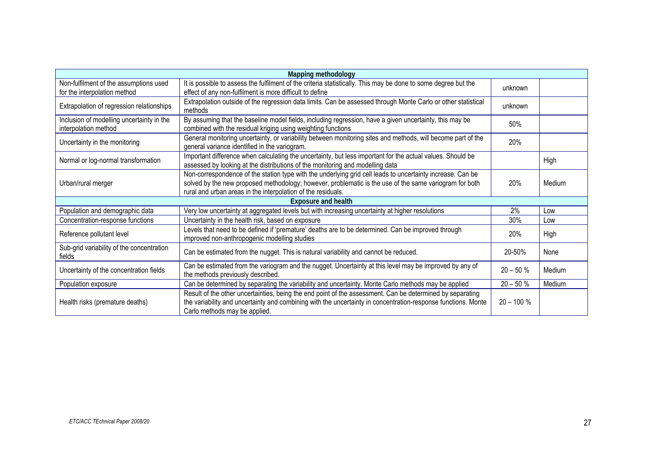| Mapping methodology                                                    |                                                                                                                                                                                                                                                                                      |              |        |  |  |  |
|------------------------------------------------------------------------|--------------------------------------------------------------------------------------------------------------------------------------------------------------------------------------------------------------------------------------------------------------------------------------|--------------|--------|--|--|--|
| Non-fulfilment of the assumptions used<br>for the interpolation method | It is possible to assess the fulfilment of the criteria statistically. This may be done to some degree but the<br>effect of any non-fulfilment is more difficult to define                                                                                                           | unknown      |        |  |  |  |
| Extrapolation of regression relationships                              | Extrapolation outside of the regression data limits. Can be assessed through Monte Carlo or other statistical<br>methods                                                                                                                                                             | unknown      |        |  |  |  |
| Inclusion of modelling uncertainty in the<br>interpolation method      | By assuming that the baseline model fields, including regression, have a given uncertainty, this may be<br>combined with the residual kriging using weighting functions                                                                                                              | 50%          |        |  |  |  |
| Uncertainty in the monitoring                                          | General monitoring uncertainty, or variability between monitoring sites and methods, will become part of the<br>general variance identified in the variogram.                                                                                                                        | 20%          |        |  |  |  |
| Normal or log-normal transformation                                    | Important difference when calculating the uncertainty, but less important for the actual values. Should be<br>assessed by looking at the distributions of the monitoring and modelling data                                                                                          |              | High   |  |  |  |
| Urban/rural merger                                                     | Non-correspondence of the station type with the underlying grid cell leads to uncertainty increase. Can be<br>solved by the new proposed methodology; however, problematic is the use of the same variogram for both<br>rural and urban areas in the interpolation of the residuals. | 20%          | Medium |  |  |  |
| <b>Exposure and health</b>                                             |                                                                                                                                                                                                                                                                                      |              |        |  |  |  |
| Population and demographic data                                        | Very low uncertainty at aggregated levels but with increasing uncertainty at higher resolutions                                                                                                                                                                                      | 2%           | Low    |  |  |  |
| Concentration-response functions                                       | Uncertainty in the health risk, based on exposure                                                                                                                                                                                                                                    | 30%          | Low    |  |  |  |
| Reference pollutant level                                              | Levels that need to be defined if 'premature' deaths are to be determined. Can be improved through<br>improved non-anthropogenic modelling studies                                                                                                                                   | 20%          | High   |  |  |  |
| Sub-grid variability of the concentration<br>fields                    | Can be estimated from the nugget. This is natural variability and cannot be reduced.                                                                                                                                                                                                 | 20-50%       | None   |  |  |  |
| Uncertainty of the concentration fields                                | Can be estimated from the variogram and the nugget. Uncertainty at this level may be improved by any of<br>the methods previously described.                                                                                                                                         | $20 - 50 \%$ | Medium |  |  |  |
| Population exposure                                                    | Can be determined by separating the variability and uncertainty. Monte Carlo methods may be applied                                                                                                                                                                                  | $20 - 50 %$  | Medium |  |  |  |
| Health risks (premature deaths)                                        | Result of the other uncertainties, being the end point of the assessment. Can be determined by separating<br>the variability and uncertainty and combining with the uncertainty in concentration-response functions. Monte<br>Carlo methods may be applied.                          | $20 - 100 %$ |        |  |  |  |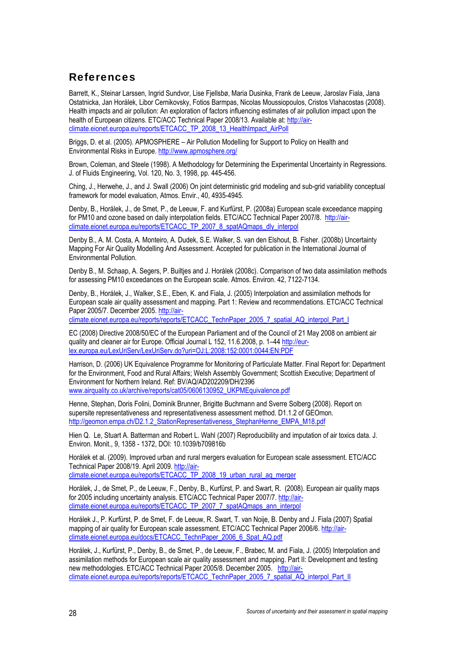## <span id="page-27-0"></span>References

Barrett, K., Steinar Larssen, Ingrid Sundvor, Lise Fjellsbø, Maria Dusinka, Frank de Leeuw, Jaroslav Fiala, Jana Ostatnicka, Jan Horálek, Libor Cernikovsky, Fotios Barmpas, Nicolas Moussiopoulos, Cristos Vlahacostas (2008). Health impacts and air pollution: An exploration of factors influencing estimates of air pollution impact upon the health of European citizens. ETC/ACC Technical Paper 2008/13. Available at: [http://air](http://air-climate.eionet.europa.eu/reports/ETCACC_TP_2008_13_HealthImpact_AirPoll)[climate.eionet.europa.eu/reports/ETCACC\\_TP\\_2008\\_13\\_HealthImpact\\_AirPoll](http://air-climate.eionet.europa.eu/reports/ETCACC_TP_2008_13_HealthImpact_AirPoll)

Briggs, D. et al. (2005). APMOSPHERE – Air Pollution Modelling for Support to Policy on Health and Environmental Risks in Europe. <http://www.apmosphere.org/>

Brown, Coleman, and Steele (1998). A Methodology for Determining the Experimental Uncertainty in Regressions. J. of Fluids Engineering, Vol. 120, No. 3, 1998, pp. 445-456.

Ching, J., Herwehe, J., and J. Swall (2006) On joint deterministic grid modeling and sub-grid variability conceptual framework for model evaluation, Atmos. Envir., 40, 4935-4945.

Denby, B., Horálek, J., de Smet, P., de Leeuw, F. and Kurfürst, P. (2008a) European scale exceedance mapping for PM10 and ozone based on daily interpolation fields. ETC/ACC Technical Paper 2007/8. [http://air](http://air-climate.eionet.europa.eu/reports/ETCACC_TP_2007_8_spatAQmaps_dly_interpol)[climate.eionet.europa.eu/reports/ETCACC\\_TP\\_2007\\_8\\_spatAQmaps\\_dly\\_interpol](http://air-climate.eionet.europa.eu/reports/ETCACC_TP_2007_8_spatAQmaps_dly_interpol) 

Denby B., A. M. Costa, A. Monteiro, A. Dudek, S.E. Walker, S. van den Elshout, B. Fisher. (2008b) Uncertainty Mapping For Air Quality Modelling And Assessment. Accepted for publication in the International Journal of Environmental Pollution.

Denby B., M. Schaap, A. Segers, P. Builtjes and J. Horálek (2008c). Comparison of two data assimilation methods for assessing PM10 exceedances on the European scale. Atmos. Environ. 42, 7122-7134.

Denby, B., Horálek, J., Walker, S.E., Eben, K. and Fiala, J. (2005) Interpolation and assimilation methods for European scale air quality assessment and mapping. Part 1: Review and recommendations. ETC/ACC Technical Paper 2005/7. December 2005. [http://air-](http://air-climate.eionet.europa.eu/reports/reports/ETCACC_TechnPaper_2005_7_spatial_AQ_interpol_Part_I)

climate.eionet.europa.eu/reports/reports/ETCACC\_TechnPaper\_2005\_7\_spatial\_AQ\_interpol\_Part\_I

EC (2008) Directive 2008/50/EC of the European Parliament and of the Council of 21 May 2008 on ambient air quality and cleaner air for Europe. Official Journal L 152, 11.6.2008, p. 1–44 [http://eur](http://eur-lex.europa.eu/LexUriServ/LexUriServ.do?uri=OJ:L:2008:152:0001:0044:EN:PDF)[lex.europa.eu/LexUriServ/LexUriServ.do?uri=OJ:L:2008:152:0001:0044:EN:PDF](http://eur-lex.europa.eu/LexUriServ/LexUriServ.do?uri=OJ:L:2008:152:0001:0044:EN:PDF)

Harrison, D. (2006) UK Equivalence Programme for Monitoring of Particulate Matter. Final Report for: Department for the Environment, Food and Rural Affairs; Welsh Assembly Government; Scottish Executive; Department of Environment for Northern Ireland. Ref: BV/AQ/AD202209/DH/2396 [www.airquality.co.uk/archive/reports/cat05/0606130952\\_UKPMEquivalence.pdf](http://www.airquality.co.uk/archive/reports/cat05/0606130952_UKPMEquivalence.pdf)

Henne, Stephan, Doris Folini, Dominik Brunner, Brigitte Buchmann and Sverre Solberg (2008). Report on supersite representativeness and representativeness assessment method. D1.1.2 of GEOmon. [http://geomon.empa.ch/D2.1.2\\_StationRepresentativeness\\_StephanHenne\\_EMPA\\_M18.pdf](http://geomon.empa.ch/D2.1.2_StationRepresentativeness_StephanHenne_EMPA_M18.pdf)

Hien Q. Le, Stuart A. Batterman and Robert L. Wahl (2007) Reproducibility and imputation of air toxics data. J. Environ. Monit., 9, 1358 - 1372, DOI: 10.1039/b709816b

Horálek et al. (2009). Improved urban and rural mergers evaluation for European scale assessment. ETC/ACC Technical Paper 2008/19. April 2009. [http://air](http://air-climate.eionet.europa.eu/reports/ETCACC_TP_2008_19_urban_rural_aq_merger)[climate.eionet.europa.eu/reports/ETCACC\\_TP\\_2008\\_19\\_urban\\_rural\\_aq\\_merger](http://air-climate.eionet.europa.eu/reports/ETCACC_TP_2008_19_urban_rural_aq_merger) 

Horálek, J., de Smet, P., de Leeuw, F., Denby, B., Kurfürst, P. and Swart, R. (2008). European air quality maps for 2005 including uncertainty analysis. ETC/ACC Technical Paper 2007/7. [http://air](http://air-climate.eionet.europa.eu/reports/ETCACC_TP_2007_7_spatAQmaps_ann_interpol)[climate.eionet.europa.eu/reports/ETCACC\\_TP\\_2007\\_7\\_spatAQmaps\\_ann\\_interpol](http://air-climate.eionet.europa.eu/reports/ETCACC_TP_2007_7_spatAQmaps_ann_interpol)

Horálek J., P. Kurfürst, P. de Smet, F. de Leeuw, R. Swart, T. van Noije, B. Denby and J. Fiala (2007) Spatial mapping of air quality for European scale assessment. ETC/ACC Technical Paper 2006/6. [http://air](http://air-climate.eionet.europa.eu/docs/ETCACC_TechnPaper_2006_6_Spat_AQ.pdf)[climate.eionet.europa.eu/docs/ETCACC\\_TechnPaper\\_2006\\_6\\_Spat\\_AQ.pdf](http://air-climate.eionet.europa.eu/docs/ETCACC_TechnPaper_2006_6_Spat_AQ.pdf) 

Horálek, J., Kurfürst, P., Denby, B., de Smet, P., de Leeuw, F., Brabec, M. and Fiala, J. (2005) Interpolation and assimilation methods for European scale air quality assessment and mapping. Part II: Development and testing new methodologies. ETC/ACC Technical Paper 2005/8. December 2005. [http://air](http://air-climate.eionet.europa.eu/reports/reports/ETCACC_TechnPaper_2005_7_spatial_AQ_interpol_Part_II)[climate.eionet.europa.eu/reports/reports/ETCACC\\_TechnPaper\\_2005\\_7\\_spatial\\_AQ\\_interpol\\_Part\\_II](http://air-climate.eionet.europa.eu/reports/reports/ETCACC_TechnPaper_2005_7_spatial_AQ_interpol_Part_II)